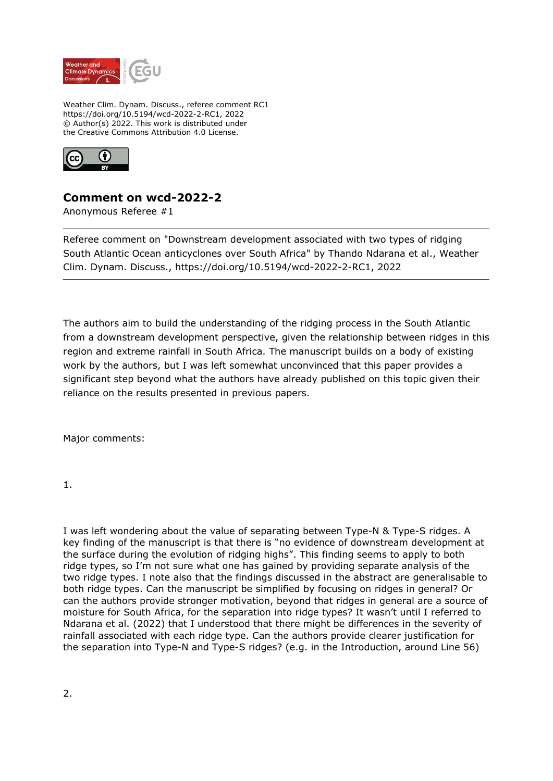

Weather Clim. Dynam. Discuss., referee comment RC1 https://doi.org/10.5194/wcd-2022-2-RC1, 2022 © Author(s) 2022. This work is distributed under the Creative Commons Attribution 4.0 License.



## **Comment on wcd-2022-2**

Anonymous Referee #1

Referee comment on "Downstream development associated with two types of ridging South Atlantic Ocean anticyclones over South Africa" by Thando Ndarana et al., Weather Clim. Dynam. Discuss., https://doi.org/10.5194/wcd-2022-2-RC1, 2022

The authors aim to build the understanding of the ridging process in the South Atlantic from a downstream development perspective, given the relationship between ridges in this region and extreme rainfall in South Africa. The manuscript builds on a body of existing work by the authors, but I was left somewhat unconvinced that this paper provides a significant step beyond what the authors have already published on this topic given their reliance on the results presented in previous papers.

Major comments:

1.

I was left wondering about the value of separating between Type-N & Type-S ridges. A key finding of the manuscript is that there is "no evidence of downstream development at the surface during the evolution of ridging highs". This finding seems to apply to both ridge types, so I'm not sure what one has gained by providing separate analysis of the two ridge types. I note also that the findings discussed in the abstract are generalisable to both ridge types. Can the manuscript be simplified by focusing on ridges in general? Or can the authors provide stronger motivation, beyond that ridges in general are a source of moisture for South Africa, for the separation into ridge types? It wasn't until I referred to Ndarana et al. (2022) that I understood that there might be differences in the severity of rainfall associated with each ridge type. Can the authors provide clearer justification for the separation into Type-N and Type-S ridges? (e.g. in the Introduction, around Line 56)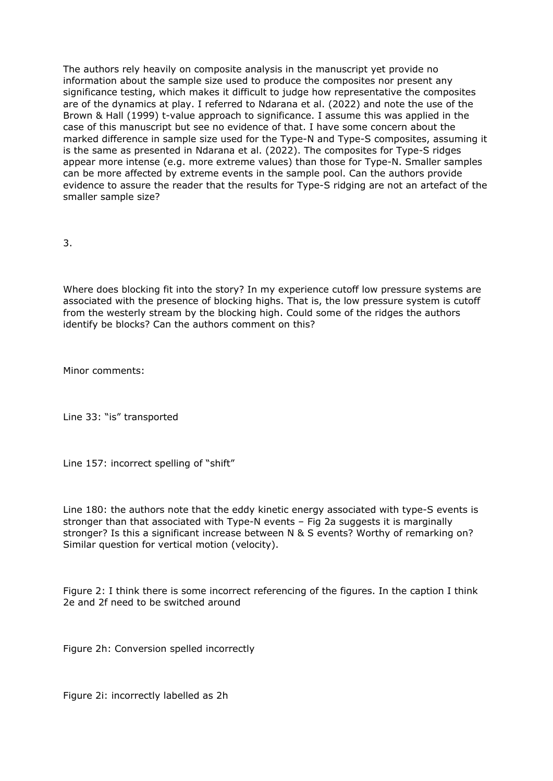The authors rely heavily on composite analysis in the manuscript yet provide no information about the sample size used to produce the composites nor present any significance testing, which makes it difficult to judge how representative the composites are of the dynamics at play. I referred to Ndarana et al. (2022) and note the use of the Brown & Hall (1999) t-value approach to significance. I assume this was applied in the case of this manuscript but see no evidence of that. I have some concern about the marked difference in sample size used for the Type-N and Type-S composites, assuming it is the same as presented in Ndarana et al. (2022). The composites for Type-S ridges appear more intense (e.g. more extreme values) than those for Type-N. Smaller samples can be more affected by extreme events in the sample pool. Can the authors provide evidence to assure the reader that the results for Type-S ridging are not an artefact of the smaller sample size?

3.

Where does blocking fit into the story? In my experience cutoff low pressure systems are associated with the presence of blocking highs. That is, the low pressure system is cutoff from the westerly stream by the blocking high. Could some of the ridges the authors identify be blocks? Can the authors comment on this?

Minor comments:

Line 33: "is" transported

Line 157: incorrect spelling of "shift"

Line 180: the authors note that the eddy kinetic energy associated with type-S events is stronger than that associated with Type-N events – Fig 2a suggests it is marginally stronger? Is this a significant increase between N & S events? Worthy of remarking on? Similar question for vertical motion (velocity).

Figure 2: I think there is some incorrect referencing of the figures. In the caption I think 2e and 2f need to be switched around

Figure 2h: Conversion spelled incorrectly

Figure 2i: incorrectly labelled as 2h